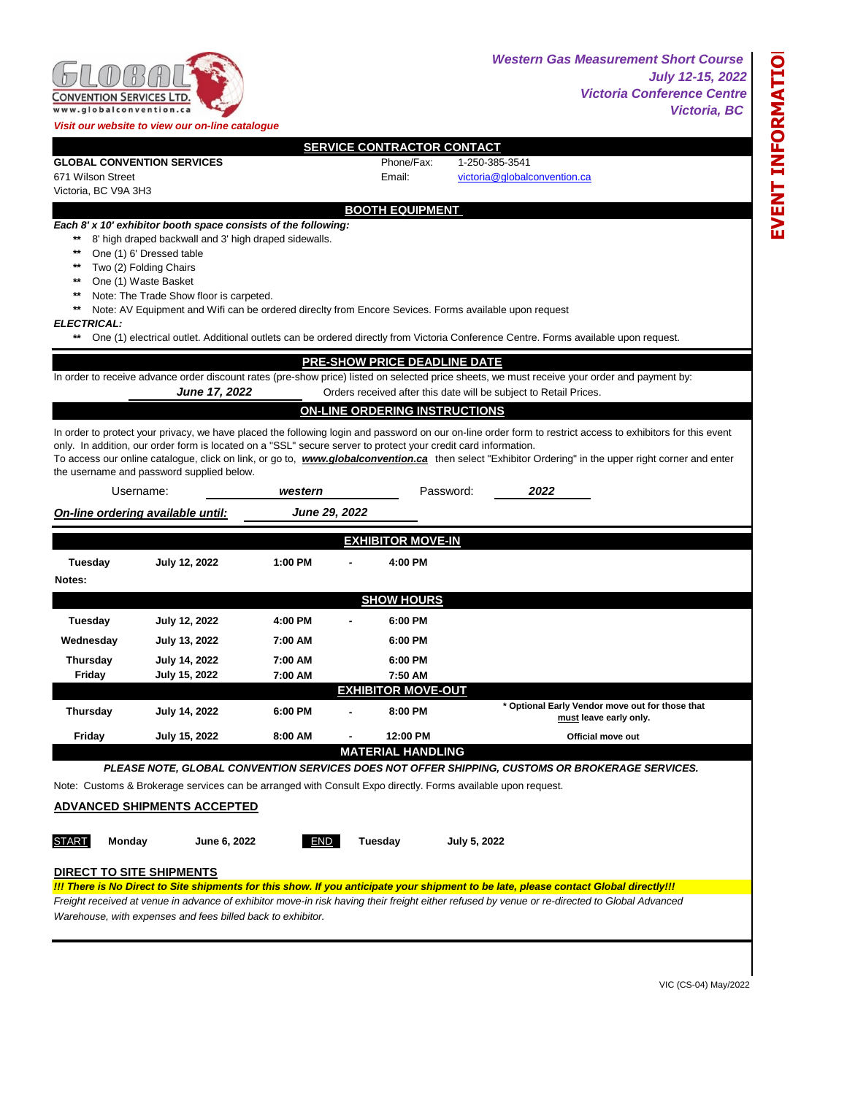

*Western Gas Measurement Short Course July 12-15, 2022 Victoria Conference Centre Victoria, BC* 

| <b>SERVICE CONTRACTOR CONTACT</b> |                                                           |                                                                |         |  |                                     |                                                                                                                                               |                                                                                                                                                             |  |  |
|-----------------------------------|-----------------------------------------------------------|----------------------------------------------------------------|---------|--|-------------------------------------|-----------------------------------------------------------------------------------------------------------------------------------------------|-------------------------------------------------------------------------------------------------------------------------------------------------------------|--|--|
|                                   | <b>GLOBAL CONVENTION SERVICES</b>                         |                                                                |         |  | Phone/Fax:                          | 1-250-385-3541                                                                                                                                |                                                                                                                                                             |  |  |
| 671 Wilson Street                 |                                                           |                                                                |         |  | Email:                              | victoria@globalconvention.ca                                                                                                                  |                                                                                                                                                             |  |  |
| Victoria, BC V9A 3H3              |                                                           |                                                                |         |  |                                     |                                                                                                                                               |                                                                                                                                                             |  |  |
| <b>BOOTH EQUIPMENT</b>            |                                                           |                                                                |         |  |                                     |                                                                                                                                               |                                                                                                                                                             |  |  |
|                                   |                                                           | Each 8' x 10' exhibitor booth space consists of the following: |         |  |                                     |                                                                                                                                               |                                                                                                                                                             |  |  |
| $***$                             |                                                           | 8' high draped backwall and 3' high draped sidewalls.          |         |  |                                     |                                                                                                                                               |                                                                                                                                                             |  |  |
| $***$                             | One (1) 6' Dressed table                                  |                                                                |         |  |                                     |                                                                                                                                               |                                                                                                                                                             |  |  |
| $***$                             | Two (2) Folding Chairs                                    |                                                                |         |  |                                     |                                                                                                                                               |                                                                                                                                                             |  |  |
| $***$                             | One (1) Waste Basket                                      |                                                                |         |  |                                     |                                                                                                                                               |                                                                                                                                                             |  |  |
| $***$                             | Note: The Trade Show floor is carpeted.                   |                                                                |         |  |                                     |                                                                                                                                               |                                                                                                                                                             |  |  |
| $***$                             |                                                           |                                                                |         |  |                                     | Note: AV Equipment and Wifi can be ordered directty from Encore Sevices. Forms available upon request                                         |                                                                                                                                                             |  |  |
| <b>ELECTRICAL:</b>                |                                                           |                                                                |         |  |                                     |                                                                                                                                               |                                                                                                                                                             |  |  |
| $***$                             |                                                           |                                                                |         |  |                                     | One (1) electrical outlet. Additional outlets can be ordered directly from Victoria Conference Centre. Forms available upon request.          |                                                                                                                                                             |  |  |
|                                   |                                                           |                                                                |         |  | <b>PRE-SHOW PRICE DEADLINE DATE</b> |                                                                                                                                               |                                                                                                                                                             |  |  |
|                                   |                                                           |                                                                |         |  |                                     | In order to receive advance order discount rates (pre-show price) listed on selected price sheets, we must receive your order and payment by: |                                                                                                                                                             |  |  |
|                                   |                                                           | June 17, 2022                                                  |         |  |                                     | Orders received after this date will be subject to Retail Prices.                                                                             |                                                                                                                                                             |  |  |
|                                   |                                                           |                                                                |         |  | ON-LINE ORDERING INSTRUCTIONS       |                                                                                                                                               |                                                                                                                                                             |  |  |
|                                   |                                                           |                                                                |         |  |                                     |                                                                                                                                               |                                                                                                                                                             |  |  |
|                                   |                                                           |                                                                |         |  |                                     | only. In addition, our order form is located on a "SSL" secure server to protect your credit card information.                                | In order to protect your privacy, we have placed the following login and password on our on-line order form to restrict access to exhibitors for this event |  |  |
|                                   |                                                           |                                                                |         |  |                                     |                                                                                                                                               | To access our online catalogue, click on link, or go to, www.globalconvention.ca then select "Exhibitor Ordering" in the upper right corner and enter       |  |  |
|                                   | the username and password supplied below.                 |                                                                |         |  |                                     |                                                                                                                                               |                                                                                                                                                             |  |  |
|                                   | Username:<br>Password:<br>2022<br>western                 |                                                                |         |  |                                     |                                                                                                                                               |                                                                                                                                                             |  |  |
|                                   | <b>June 29, 2022</b><br>On-line ordering available until: |                                                                |         |  |                                     |                                                                                                                                               |                                                                                                                                                             |  |  |
|                                   |                                                           |                                                                |         |  |                                     |                                                                                                                                               |                                                                                                                                                             |  |  |
| <b>EXHIBITOR MOVE-IN</b>          |                                                           |                                                                |         |  |                                     |                                                                                                                                               |                                                                                                                                                             |  |  |
| Tuesday                           |                                                           | <b>July 12, 2022</b>                                           | 1:00 PM |  | 4:00 PM                             |                                                                                                                                               |                                                                                                                                                             |  |  |
| Notes:                            |                                                           |                                                                |         |  |                                     |                                                                                                                                               |                                                                                                                                                             |  |  |
|                                   |                                                           |                                                                |         |  | <b>SHOW HOURS</b>                   |                                                                                                                                               |                                                                                                                                                             |  |  |
|                                   |                                                           |                                                                |         |  |                                     |                                                                                                                                               |                                                                                                                                                             |  |  |
| <b>Tuesday</b>                    |                                                           | <b>July 12, 2022</b>                                           | 4:00 PM |  | 6:00 PM                             |                                                                                                                                               |                                                                                                                                                             |  |  |
| Wednesday                         |                                                           | July 13, 2022                                                  | 7:00 AM |  | 6:00 PM                             |                                                                                                                                               |                                                                                                                                                             |  |  |
| <b>Thursday</b>                   |                                                           | July 14, 2022                                                  | 7:00 AM |  | 6:00 PM                             |                                                                                                                                               |                                                                                                                                                             |  |  |
| Friday                            |                                                           | July 15, 2022                                                  | 7:00 AM |  | 7:50 AM                             |                                                                                                                                               |                                                                                                                                                             |  |  |
|                                   |                                                           |                                                                |         |  | <b>EXHIBITOR MOVE-OUT</b>           |                                                                                                                                               |                                                                                                                                                             |  |  |
| <b>Thursday</b>                   |                                                           | July 14, 2022                                                  | 6:00 PM |  | 8:00 PM                             |                                                                                                                                               | * Optional Early Vendor move out for those that<br>must leave early only.                                                                                   |  |  |
| Friday                            |                                                           | July 15, 2022                                                  | 8:00 AM |  | 12:00 PM                            |                                                                                                                                               | Official move out                                                                                                                                           |  |  |
|                                   |                                                           |                                                                |         |  | <b>MATERIAL HANDLING</b>            |                                                                                                                                               |                                                                                                                                                             |  |  |
|                                   |                                                           |                                                                |         |  |                                     | PLEASE NOTE, GLOBAL CONVENTION SERVICES DOES NOT OFFER SHIPPING, CUSTOMS OR BROKERAGE SERVICES.                                               |                                                                                                                                                             |  |  |
|                                   |                                                           |                                                                |         |  |                                     | Note: Customs & Brokerage services can be arranged with Consult Expo directly. Forms available upon request.                                  |                                                                                                                                                             |  |  |
|                                   |                                                           |                                                                |         |  |                                     |                                                                                                                                               |                                                                                                                                                             |  |  |
|                                   |                                                           | <b>ADVANCED SHIPMENTS ACCEPTED</b>                             |         |  |                                     |                                                                                                                                               |                                                                                                                                                             |  |  |
|                                   |                                                           |                                                                |         |  |                                     |                                                                                                                                               |                                                                                                                                                             |  |  |
| <b>START</b>                      |                                                           |                                                                |         |  |                                     |                                                                                                                                               |                                                                                                                                                             |  |  |
|                                   | Monday                                                    | June 6, 2022                                                   | END     |  | Tuesday                             | July 5, 2022                                                                                                                                  |                                                                                                                                                             |  |  |
|                                   |                                                           |                                                                |         |  |                                     |                                                                                                                                               |                                                                                                                                                             |  |  |
|                                   | <b>DIRECT TO SITE SHIPMENTS</b>                           |                                                                |         |  |                                     |                                                                                                                                               |                                                                                                                                                             |  |  |
|                                   |                                                           |                                                                |         |  |                                     | !!! There is No Direct to Site shipments for this show. If you anticipate your shipment to be late, please contact Global directly!!!         |                                                                                                                                                             |  |  |
|                                   |                                                           |                                                                |         |  |                                     | Freight received at venue in advance of exhibitor move-in risk having their freight either refused by venue or re-directed to Global Advanced |                                                                                                                                                             |  |  |
|                                   |                                                           | Warehouse, with expenses and fees billed back to exhibitor.    |         |  |                                     |                                                                                                                                               |                                                                                                                                                             |  |  |

VIC (CS-04) May/2022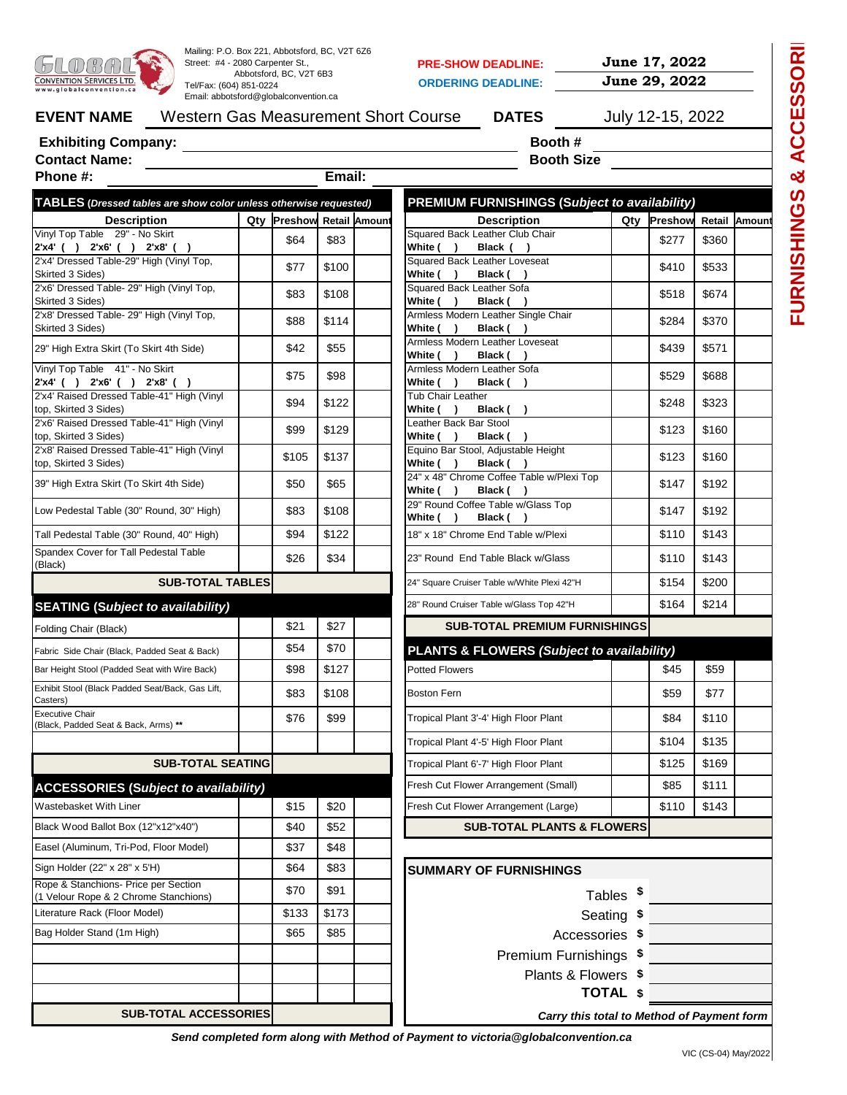| CONVENTION SERVICES LTD.<br>www.globalconvention.ca                           | Mailing: P.O. Box 221, Abbotsford, BC, V2T 6Z6<br>Street: #4 - 2080 Carpenter St.,<br>Abbotsford, BC, V2T 6B3<br>Tel/Fax: (604) 851-0224<br>Email: abbotsford@qlobalconvention.ca |                           | <b>PRE-SHOW DEADLINE:</b><br><b>ORDERING DEADLINE:</b>             | June 17, 2022<br>June 29, 2022 |                           |       |  |
|-------------------------------------------------------------------------------|-----------------------------------------------------------------------------------------------------------------------------------------------------------------------------------|---------------------------|--------------------------------------------------------------------|--------------------------------|---------------------------|-------|--|
| <b>EVENT NAME</b>                                                             |                                                                                                                                                                                   |                           | Western Gas Measurement Short Course<br><b>DATES</b>               |                                | July 12-15, 2022          |       |  |
| <b>Exhibiting Company:</b>                                                    | <u> 1989 - Jan Stein Stein Stein Stein Stein Stein Stein Stein Stein Stein Stein Stein Stein Stein Stein Stein S</u>                                                              |                           | Booth #                                                            |                                |                           |       |  |
| <b>Contact Name:</b>                                                          |                                                                                                                                                                                   |                           | <b>Booth Size</b>                                                  |                                |                           |       |  |
| Phone #:                                                                      |                                                                                                                                                                                   | Email:                    |                                                                    |                                |                           |       |  |
| TABLES (Dressed tables are show color unless otherwise requested)             |                                                                                                                                                                                   |                           | <b>PREMIUM FURNISHINGS (Subject to availability)</b>               |                                |                           |       |  |
| <b>Description</b><br>Vinyl Top Table 29" - No Skirt                          |                                                                                                                                                                                   | Qty Preshow Retail Amount | <b>Description</b><br>Squared Back Leather Club Chair              |                                | Qty Preshow Retail Amount |       |  |
| 2'x4' ( ) 2'x6' ( ) 2'x8' ( )                                                 | \$64                                                                                                                                                                              | \$83                      | White ( )<br>Black ()                                              |                                | \$277                     | \$360 |  |
| 2'x4' Dressed Table-29" High (Vinyl Top,<br>Skirted 3 Sides)                  | \$77                                                                                                                                                                              | \$100                     | Squared Back Leather Loveseat<br>White ( )<br>Black ()             |                                | \$410                     | \$533 |  |
| 2'x6' Dressed Table- 29" High (Vinyl Top,<br>Skirted 3 Sides)                 | \$83                                                                                                                                                                              | \$108                     | Squared Back Leather Sofa<br>White ( )<br>Black ()                 |                                | \$518                     | \$674 |  |
| 2'x8' Dressed Table- 29" High (Vinyl Top,<br>Skirted 3 Sides)                 | \$88                                                                                                                                                                              | \$114                     | Armless Modern Leather Single Chair<br>White ( )<br>Black ()       |                                | \$284                     | \$370 |  |
| 29" High Extra Skirt (To Skirt 4th Side)                                      | \$42                                                                                                                                                                              | \$55                      | Armless Modern Leather Loveseat<br>White ( )<br>Black ()           |                                | \$439                     | \$571 |  |
| Vinyl Top Table 41" - No Skirt<br>$2'x4'$ ( ) $2'x6'$ ( ) $2'x8'$ ( )         | \$75                                                                                                                                                                              | \$98                      | Armless Modern Leather Sofa<br>White ( )<br>Black ()               |                                | \$529                     | \$688 |  |
| 2'x4' Raised Dressed Table-41" High (Vinyl)<br>top, Skirted 3 Sides)          | \$94                                                                                                                                                                              | \$122                     | Tub Chair Leather<br>White ( )<br>Black ()                         |                                | \$248                     | \$323 |  |
| 2'x6' Raised Dressed Table-41" High (Vinyl<br>top, Skirted 3 Sides)           | \$99                                                                                                                                                                              | \$129                     | Leather Back Bar Stool<br>White ( )<br>Black ()                    |                                | \$123                     | \$160 |  |
| 2'x8' Raised Dressed Table-41" High (Vinyl<br>top, Skirted 3 Sides)           | \$105                                                                                                                                                                             | \$137                     | Equino Bar Stool, Adjustable Height<br>White ( )<br>Black ()       |                                | \$123                     | \$160 |  |
| 39" High Extra Skirt (To Skirt 4th Side)                                      | \$50                                                                                                                                                                              | \$65                      | 24" x 48" Chrome Coffee Table w/Plexi Top<br>White ( )<br>Black () |                                | \$147                     | \$192 |  |
| Low Pedestal Table (30" Round, 30" High)                                      | \$83                                                                                                                                                                              | \$108                     | 29" Round Coffee Table w/Glass Top<br>White ( )<br>Black ()        |                                | \$147                     | \$192 |  |
| Tall Pedestal Table (30" Round, 40" High)                                     | \$94                                                                                                                                                                              | \$122                     | 18" x 18" Chrome End Table w/Plexi                                 |                                | \$110                     | \$143 |  |
| Spandex Cover for Tall Pedestal Table<br>(Black)                              | \$26                                                                                                                                                                              | \$34                      | 23" Round End Table Black w/Glass                                  |                                | \$110                     | \$143 |  |
| <b>SUB-TOTAL TABLES</b>                                                       |                                                                                                                                                                                   |                           | 24" Square Cruiser Table w/White Plexi 42"H                        |                                | \$154                     | \$200 |  |
| <b>SEATING (Subject to availability)</b>                                      |                                                                                                                                                                                   |                           | 28" Round Cruiser Table w/Glass Top 42"H                           |                                | \$164                     | \$214 |  |
| Folding Chair (Black)                                                         | \$21                                                                                                                                                                              | \$27                      | <b>SUB-TOTAL PREMIUM FURNISHINGS</b>                               |                                |                           |       |  |
| Fabric Side Chair (Black, Padded Seat & Back)                                 | \$54                                                                                                                                                                              | \$70                      | <b>PLANTS &amp; FLOWERS (Subject to availability)</b>              |                                |                           |       |  |
| Bar Height Stool (Padded Seat with Wire Back)                                 | \$98                                                                                                                                                                              | \$127                     | Potted Flowers                                                     |                                | \$45                      | \$59  |  |
| Exhibit Stool (Black Padded Seat/Back, Gas Lift,<br>Casters)                  | \$83                                                                                                                                                                              | \$108                     | <b>Boston Fern</b>                                                 |                                | \$59                      | \$77  |  |
| <b>Executive Chair</b><br>(Black, Padded Seat & Back, Arms) **                | \$76                                                                                                                                                                              | \$99                      | Tropical Plant 3'-4' High Floor Plant                              |                                | \$84                      | \$110 |  |
|                                                                               |                                                                                                                                                                                   |                           | Tropical Plant 4'-5' High Floor Plant                              |                                | \$104                     | \$135 |  |
| <b>SUB-TOTAL SEATING</b>                                                      |                                                                                                                                                                                   |                           | Tropical Plant 6'-7' High Floor Plant                              |                                | \$125                     | \$169 |  |
| <b>ACCESSORIES (Subject to availability)</b>                                  |                                                                                                                                                                                   |                           | Fresh Cut Flower Arrangement (Small)                               |                                | \$85                      | \$111 |  |
| Wastebasket With Liner                                                        | \$15                                                                                                                                                                              | \$20                      | Fresh Cut Flower Arrangement (Large)                               |                                | \$110                     | \$143 |  |
| Black Wood Ballot Box (12"x12"x40")                                           | \$40                                                                                                                                                                              | \$52                      | <b>SUB-TOTAL PLANTS &amp; FLOWERS</b>                              |                                |                           |       |  |
| Easel (Aluminum, Tri-Pod, Floor Model)                                        | \$37                                                                                                                                                                              | \$48                      |                                                                    |                                |                           |       |  |
| Sign Holder (22" x 28" x 5'H)                                                 | \$64                                                                                                                                                                              | \$83                      | <b>SUMMARY OF FURNISHINGS</b>                                      |                                |                           |       |  |
| Rope & Stanchions- Price per Section<br>(1 Velour Rope & 2 Chrome Stanchions) | \$70                                                                                                                                                                              | \$91                      |                                                                    | Tables <sup>\$</sup>           |                           |       |  |
| Literature Rack (Floor Model)                                                 | \$133                                                                                                                                                                             | \$173                     |                                                                    | Seating \$                     |                           |       |  |
| Bag Holder Stand (1m High)                                                    | \$65                                                                                                                                                                              | \$85                      |                                                                    | Accessories \$                 |                           |       |  |
|                                                                               |                                                                                                                                                                                   |                           | Premium Furnishings \$                                             |                                |                           |       |  |
|                                                                               |                                                                                                                                                                                   |                           | Plants & Flowers \$                                                |                                |                           |       |  |
|                                                                               |                                                                                                                                                                                   |                           |                                                                    | <b>TOTAL \$</b>                |                           |       |  |
| <b>SUB-TOTAL ACCESSORIES</b>                                                  |                                                                                                                                                                                   |                           | Carry this total to Method of Payment form                         |                                |                           |       |  |

*Send completed form along with Method of Payment to victoria@globalconvention.ca*

**FURNISHINGS & ACCESSORIES**

FURNISHINGS & ACCESSORII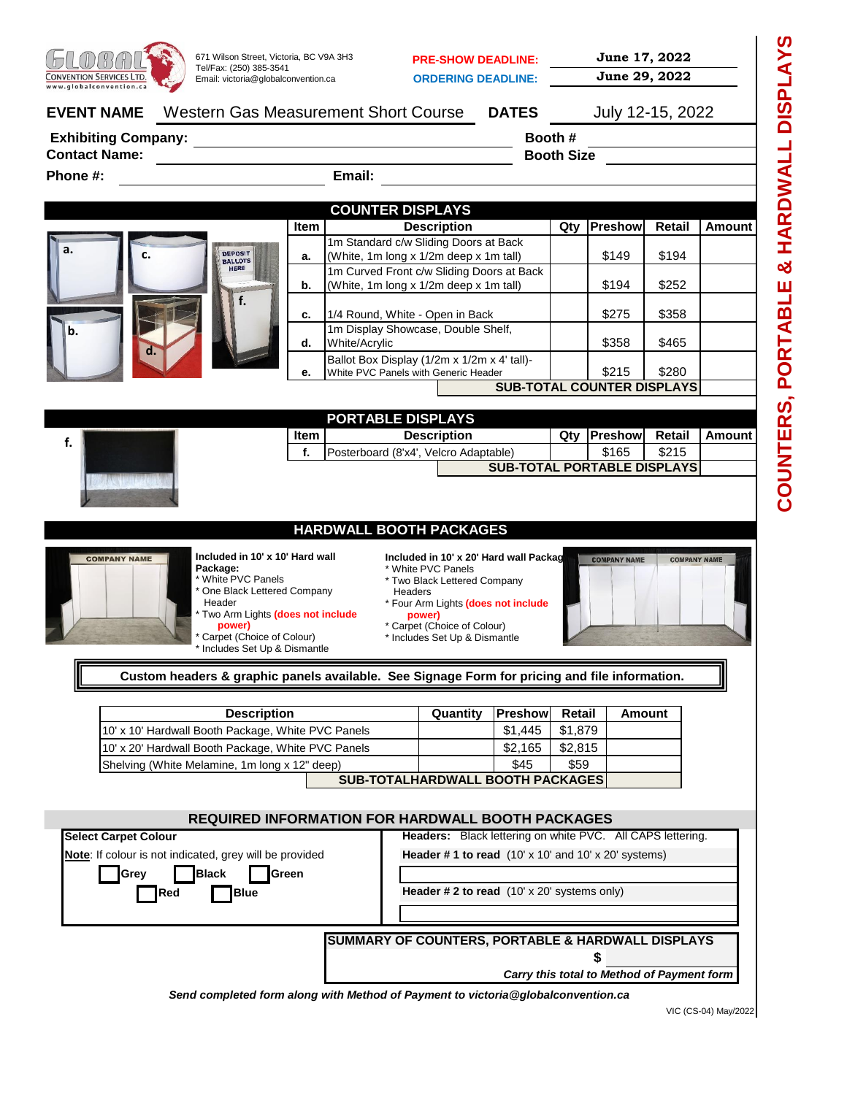

VIC (CS-04) May/2022

**COUNTERS, PORTABLE & HARDWALL DISPLAYS**

COUNTERS, PORTABLE & HARDWALL DISPLAYS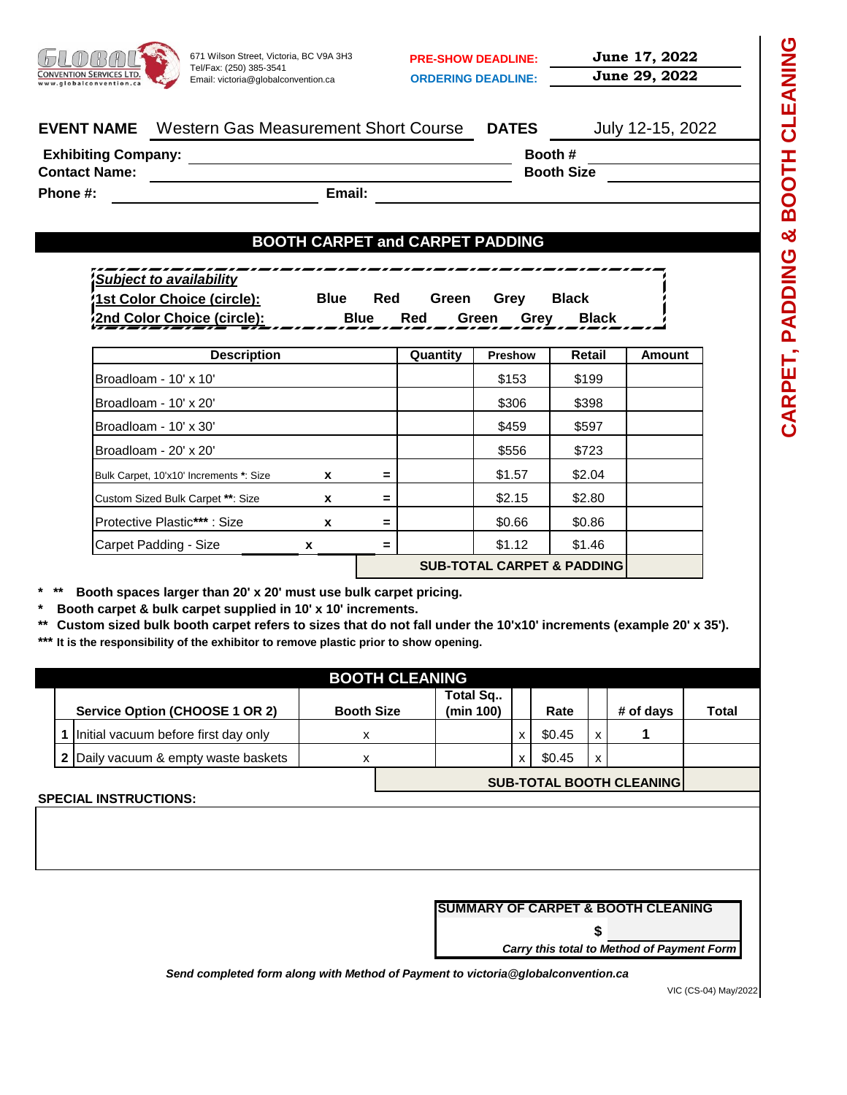

**ORDERING DEADLINE: June 29, 2022**

**PRE-SHOW DEADLINE: June 17, 2022**

| Western Gas Measurement Short Course<br><b>EVENT NAME</b> |  | <b>DATES</b>      | July 12-15, 2022 |
|-----------------------------------------------------------|--|-------------------|------------------|
| <b>Exhibiting Company:</b>                                |  | Booth #           |                  |
| <b>Contact Name:</b>                                      |  | <b>Booth Size</b> |                  |

**Phone #:**

**Email:**

# **BOOTH CARPET and CARPET PADDING**

| -----<br>___________<br>Subject to availability | ________    |     | ______ |      |              | ---------------------- |
|-------------------------------------------------|-------------|-----|--------|------|--------------|------------------------|
| 1st Color Choice (circle):                      | <b>Blue</b> | Red | Green  | Grev | <b>Black</b> |                        |
| 2nd Color Choice (circle):                      | Blue        | Red | Green  | Grev |              | <b>Black</b>           |

| <b>Description</b>                      |   |     | Quantity | <b>Preshow</b>                        | Retail | <b>Amount</b> |
|-----------------------------------------|---|-----|----------|---------------------------------------|--------|---------------|
| Broadloam - 10' x 10'                   |   |     |          | \$153                                 | \$199  |               |
| Broadloam - 10' x 20'                   |   |     |          | \$306                                 | \$398  |               |
| Broadloam - 10' x 30'                   |   |     |          | \$459                                 | \$597  |               |
| Broadloam - 20' x 20'                   |   |     |          | \$556                                 | \$723  |               |
| Bulk Carpet, 10'x10' Increments *: Size | x | $=$ |          | \$1.57                                | \$2.04 |               |
| Custom Sized Bulk Carpet **: Size       | x | $=$ |          | \$2.15                                | \$2.80 |               |
| Protective Plastic***: Size             | X | $=$ |          | \$0.66                                | \$0.86 |               |
| Carpet Padding - Size                   | x | $=$ |          | \$1.12                                | \$1.46 |               |
|                                         |   |     |          | <b>SUB-TOTAL CARPET &amp; PADDING</b> |        |               |

**\* \*\* Booth spaces larger than 20' x 20' must use bulk carpet pricing.** 

**\* Booth carpet & bulk carpet supplied in 10' x 10' increments.**

**\*\* Custom sized bulk booth carpet refers to sizes that do not fall under the 10'x10' increments (example 20' x 35').**

**\*\*\* It is the responsibility of the exhibitor to remove plastic prior to show opening.**

| <b>BOOTH CLEANING</b> |  |                                      |                   |                                 |                       |   |        |              |           |       |  |
|-----------------------|--|--------------------------------------|-------------------|---------------------------------|-----------------------|---|--------|--------------|-----------|-------|--|
|                       |  | Service Option (CHOOSE 1 OR 2)       | <b>Booth Size</b> |                                 | Total Sq<br>(min 100) |   | Rate   |              | # of days | Total |  |
|                       |  | Initial vacuum before first day only | x                 |                                 |                       | X | \$0.45 | X            |           |       |  |
|                       |  | 2 Daily vacuum & empty waste baskets | x                 |                                 |                       | X | \$0.45 | $\mathsf{x}$ |           |       |  |
|                       |  |                                      |                   | <b>SUB-TOTAL BOOTH CLEANING</b> |                       |   |        |              |           |       |  |
|                       |  | <b>SPECIAL INSTRUCTIONS:</b>         |                   |                                 |                       |   |        |              |           |       |  |
|                       |  |                                      |                   |                                 |                       |   |        |              |           |       |  |
|                       |  |                                      |                   |                                 |                       |   |        |              |           |       |  |
|                       |  |                                      |                   |                                 |                       |   |        |              |           |       |  |

| SUMMARY OF CARPET & BOOTH CLEANING |  |  |  |  |
|------------------------------------|--|--|--|--|
|                                    |  |  |  |  |

*Carry this total to Method of Payment Form*

**\$**

*Send completed form along with Method of Payment to victoria@globalconvention.ca*

VIC (CS-04) May/2022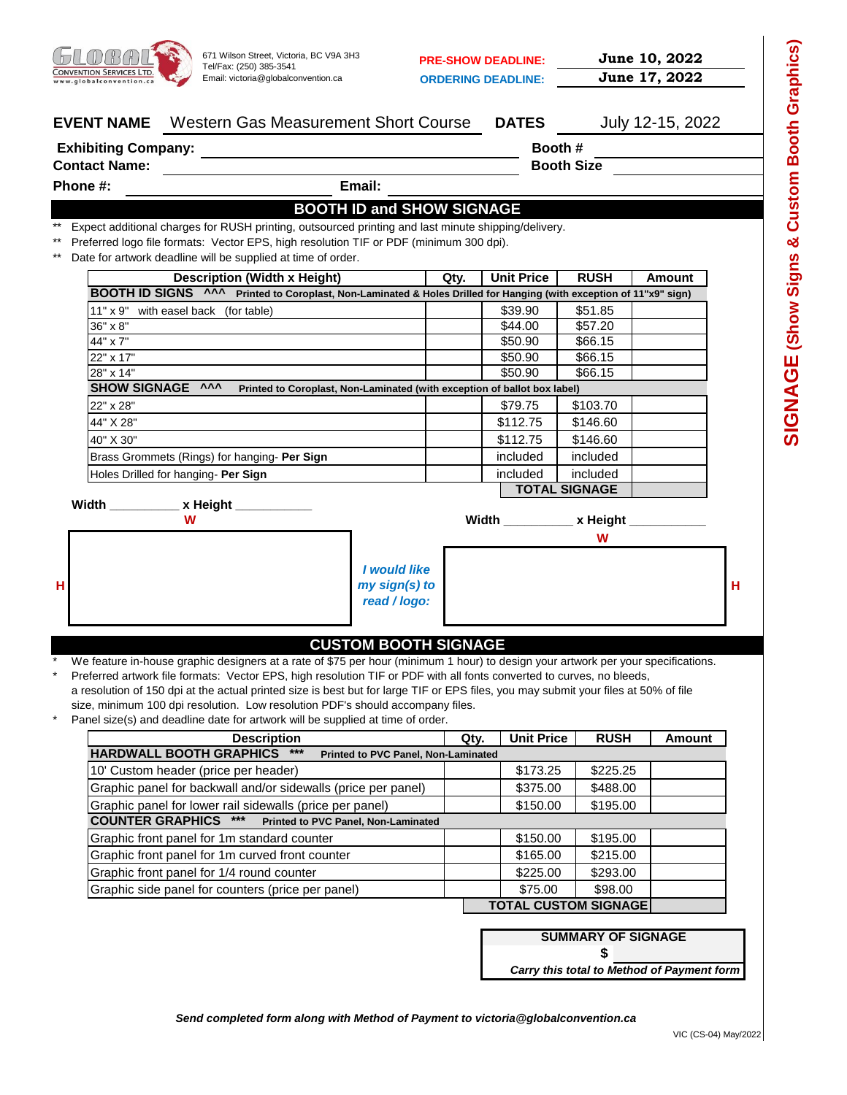

**PRE-SHOW DEADLINE: June 10, 2022 ORDERING DEADLINE: June 17, 2022**

|       | Western Gas Measurement Short Course<br><b>EVENT NAME</b>                                                                                                        |                                  |      |      | <b>DATES</b>      |                             | July 12-15, 2022 |   |
|-------|------------------------------------------------------------------------------------------------------------------------------------------------------------------|----------------------------------|------|------|-------------------|-----------------------------|------------------|---|
|       | <b>Exhibiting Company:</b>                                                                                                                                       |                                  |      |      |                   | Booth #                     |                  |   |
|       | <b>Contact Name:</b>                                                                                                                                             |                                  |      |      |                   | <b>Booth Size</b>           |                  |   |
|       | Phone #:                                                                                                                                                         | Email:                           |      |      |                   |                             |                  |   |
|       |                                                                                                                                                                  | <b>BOOTH ID and SHOW SIGNAGE</b> |      |      |                   |                             |                  |   |
|       | Expect additional charges for RUSH printing, outsourced printing and last minute shipping/delivery.                                                              |                                  |      |      |                   |                             |                  |   |
| $***$ | Preferred logo file formats: Vector EPS, high resolution TIF or PDF (minimum 300 dpi).                                                                           |                                  |      |      |                   |                             |                  |   |
|       | Date for artwork deadline will be supplied at time of order.                                                                                                     |                                  |      |      |                   |                             |                  |   |
|       | <b>Description (Width x Height)</b>                                                                                                                              |                                  | Qty. |      | <b>Unit Price</b> | <b>RUSH</b>                 | Amount           |   |
|       | BOOTH ID SIGNS ^^^ Printed to Coroplast, Non-Laminated & Holes Drilled for Hanging (with exception of 11"x9" sign)                                               |                                  |      |      |                   |                             |                  |   |
|       | 11" x 9" with easel back (for table)                                                                                                                             |                                  |      |      | \$39.90           | \$51.85                     |                  |   |
|       | $36" \times 8"$                                                                                                                                                  |                                  |      |      | \$44.00           | \$57.20                     |                  |   |
|       | 44" x 7"                                                                                                                                                         |                                  |      |      | \$50.90           | \$66.15                     |                  |   |
|       | 22" x 17"                                                                                                                                                        |                                  |      |      | \$50.90           | \$66.15                     |                  |   |
|       | 28" x 14"<br>SHOW SIGNAGE ^^^<br>Printed to Coroplast, Non-Laminated (with exception of ballot box label)                                                        |                                  |      |      | \$50.90           | \$66.15                     |                  |   |
|       | 22" x 28"                                                                                                                                                        |                                  |      |      | \$79.75           | \$103.70                    |                  |   |
|       | 44" X 28"                                                                                                                                                        |                                  |      |      | \$112.75          | \$146.60                    |                  |   |
|       | 40" X 30"                                                                                                                                                        |                                  |      |      | \$112.75          | \$146.60                    |                  |   |
|       | Brass Grommets (Rings) for hanging- Per Sign                                                                                                                     |                                  |      |      | included          | included                    |                  |   |
|       | Holes Drilled for hanging Per Sign                                                                                                                               |                                  |      |      | included          | included                    |                  |   |
|       |                                                                                                                                                                  |                                  |      |      |                   | <b>TOTAL SIGNAGE</b>        |                  |   |
|       | Width _________ x Height ________                                                                                                                                |                                  |      |      |                   |                             |                  |   |
|       | w                                                                                                                                                                |                                  |      |      |                   | Width __________ x Height _ |                  |   |
|       |                                                                                                                                                                  |                                  |      |      |                   | W                           |                  |   |
|       |                                                                                                                                                                  |                                  |      |      |                   |                             |                  |   |
|       |                                                                                                                                                                  | I would like                     |      |      |                   |                             |                  |   |
| н     |                                                                                                                                                                  | my sign(s) to                    |      |      |                   |                             |                  | н |
|       |                                                                                                                                                                  | read / logo:                     |      |      |                   |                             |                  |   |
|       |                                                                                                                                                                  |                                  |      |      |                   |                             |                  |   |
|       |                                                                                                                                                                  | <b>CUSTOM BOOTH SIGNAGE</b>      |      |      |                   |                             |                  |   |
|       | We feature in-house graphic designers at a rate of \$75 per hour (minimum 1 hour) to design your artwork per your specifications.                                |                                  |      |      |                   |                             |                  |   |
|       | Preferred artwork file formats: Vector EPS, high resolution TIF or PDF with all fonts converted to curves, no bleeds,                                            |                                  |      |      |                   |                             |                  |   |
|       | a resolution of 150 dpi at the actual printed size is best but for large TIF or EPS files, you may submit your files at 50% of file                              |                                  |      |      |                   |                             |                  |   |
|       | size, minimum 100 dpi resolution. Low resolution PDF's should accompany files.<br>Panel size(s) and deadline date for artwork will be supplied at time of order. |                                  |      |      |                   |                             |                  |   |
|       | <b>Description</b>                                                                                                                                               |                                  |      | Qty. | <b>Unit Price</b> | <b>RUSH</b>                 | Amount           |   |
|       |                                                                                                                                                                  |                                  |      |      |                   |                             |                  |   |

| <b>Description</b>                                                             | Qty. | Unit Price | RUSH                        | Amount |  |  |  |
|--------------------------------------------------------------------------------|------|------------|-----------------------------|--------|--|--|--|
| <b>HARDWALL BOOTH GRAPHICS</b><br>$***$<br>Printed to PVC Panel, Non-Laminated |      |            |                             |        |  |  |  |
| 10' Custom header (price per header)                                           |      | \$173.25   | \$225.25                    |        |  |  |  |
| Graphic panel for backwall and/or sidewalls (price per panel)                  |      | \$375.00   | \$488.00                    |        |  |  |  |
| Graphic panel for lower rail sidewalls (price per panel)                       |      | \$150.00   | \$195.00                    |        |  |  |  |
| <b>COUNTER GRAPHICS ***</b><br>Printed to PVC Panel, Non-Laminated             |      |            |                             |        |  |  |  |
| Graphic front panel for 1m standard counter                                    |      | \$150.00   | \$195.00                    |        |  |  |  |
| Graphic front panel for 1m curved front counter                                |      | \$165.00   | \$215.00                    |        |  |  |  |
| Graphic front panel for 1/4 round counter                                      |      | \$225.00   | \$293.00                    |        |  |  |  |
| Graphic side panel for counters (price per panel)                              |      | \$75.00    | \$98.00                     |        |  |  |  |
|                                                                                |      |            | <b>TOTAL CUSTOM SIGNAGE</b> |        |  |  |  |

**SUMMARY OF SIGNAGE**

**\$**

*Carry this total to Method of Payment form*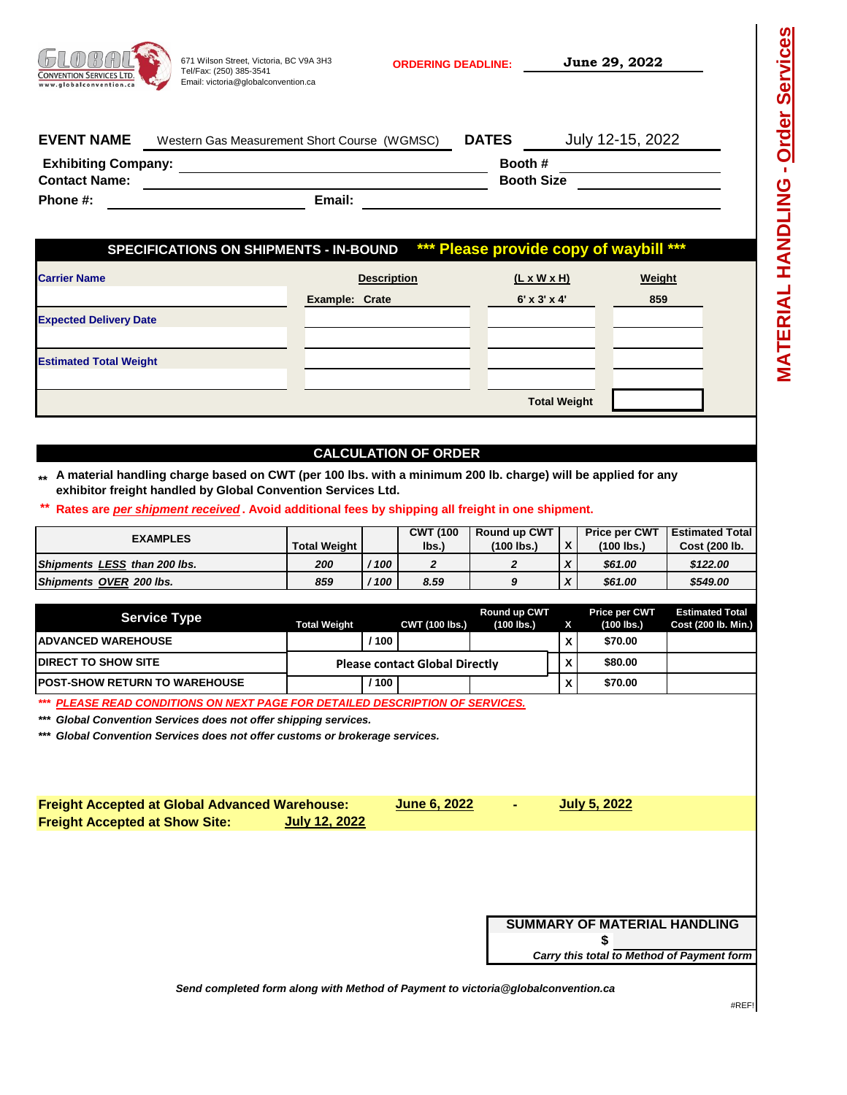| <b>CONVENTION SERVICES LTD.</b><br>www.globalconvention.ca | 671 Wilson Street, Victoria, BC V9A 3H3<br>Tel/Fax: (250) 385-3541<br>Email: victoria@globalconvention.ca | <b>ORDERING DEADLINE:</b>    | June 29, 2022    |
|------------------------------------------------------------|-----------------------------------------------------------------------------------------------------------|------------------------------|------------------|
| <b>EVENT NAME</b>                                          | Western Gas Measurement Short Course (WGMSC)                                                              | <b>DATES</b>                 | July 12-15, 2022 |
| <b>Exhibiting Company:</b><br><b>Contact Name:</b>         |                                                                                                           | Booth #<br><b>Booth Size</b> |                  |
| Phone #:                                                   | Email:                                                                                                    |                              |                  |

| <b>Carrier Name</b>           | <b>Description</b> | $(L \times W \times H)$ | Weight |
|-------------------------------|--------------------|-------------------------|--------|
|                               | Example: Crate     | $6'$ x $3'$ x $4'$      | 859    |
| <b>Expected Delivery Date</b> |                    |                         |        |
|                               |                    |                         |        |
| <b>Estimated Total Weight</b> |                    |                         |        |
|                               |                    |                         |        |
|                               |                    | <b>Total Weight</b>     |        |

### **CALCULATION OF ORDER**

- **\*\* A material handling charge based on CWT (per 100 lbs. with a minimum 200 lb. charge) will be applied for any exhibitor freight handled by Global Convention Services Ltd.**
- **\*\* Rates are** *per shipment received* **. Avoid additional fees by shipping all freight in one shipment.**

| <b>EXAMPLES</b>              |                     |     | <b>CWT (100</b> | <b>Round up CWT</b> |               | <b>Price per CWT</b> | <b>Estimated Total</b> |
|------------------------------|---------------------|-----|-----------------|---------------------|---------------|----------------------|------------------------|
|                              | <b>Total Weight</b> |     | lbs.)           | $(100$ lbs.         | $\mathbf v$ . | (100 lbs.)           | Cost (200 lb.          |
| Shipments LESS than 200 lbs. | 200                 | 100 |                 |                     | $\mathbf{v}$  | \$61.00              | \$122.00               |
| Shipments OVER 200 lbs.      | 859                 | 100 | 8.59            |                     | $\mathbf{v}$  | \$61.00              | \$549.00               |

| <b>Service Type</b>                                                           | <b>Total Weight</b> |       | <b>CWT (100 lbs.)</b>                 | Round up CWT<br>$(100$ lbs.) |   | Price per CWT<br>$(100$ lbs.) | <b>Estimated Total</b><br>Cost (200 lb. Min.) |
|-------------------------------------------------------------------------------|---------------------|-------|---------------------------------------|------------------------------|---|-------------------------------|-----------------------------------------------|
| <b>IADVANCED WAREHOUSE</b>                                                    |                     | 100   |                                       |                              | v | \$70.00                       |                                               |
| <b>IDIRECT TO SHOW SITE</b>                                                   |                     |       | <b>Please contact Global Directly</b> |                              |   | \$80.00                       |                                               |
| <b>IPOST-SHOW RETURN TO WAREHOUSE</b>                                         |                     | ' 100 |                                       |                              |   | \$70.00                       |                                               |
| *** PLEASE READ CONDITIONS ON NEXT PAGE FOR DETAILED DESCRIPTION OF SERVICES. |                     |       |                                       |                              |   |                               |                                               |

*\*\*\* Global Convention Services does not offer shipping services.*

*\*\*\* Global Convention Services does not offer customs or brokerage services.*

| <b>Freight Accepted at Global Advanced Warehouse:</b> |               | <b>June 6, 2022</b> | <b>ALL</b> | July 5, 2022 |
|-------------------------------------------------------|---------------|---------------------|------------|--------------|
| <b>Freight Accepted at Show Site:</b>                 | July 12, 2022 |                     |            |              |
|                                                       |               |                     |            |              |
|                                                       |               |                     |            |              |

**\$ SUMMARY OF MATERIAL HANDLING** *Carry this total to Method of Payment form*

*Send completed form along with Method of Payment to victoria@globalconvention.ca*

**MATERIAL HANDLING - Order Services**

MATERIAL HANDLING - Order Services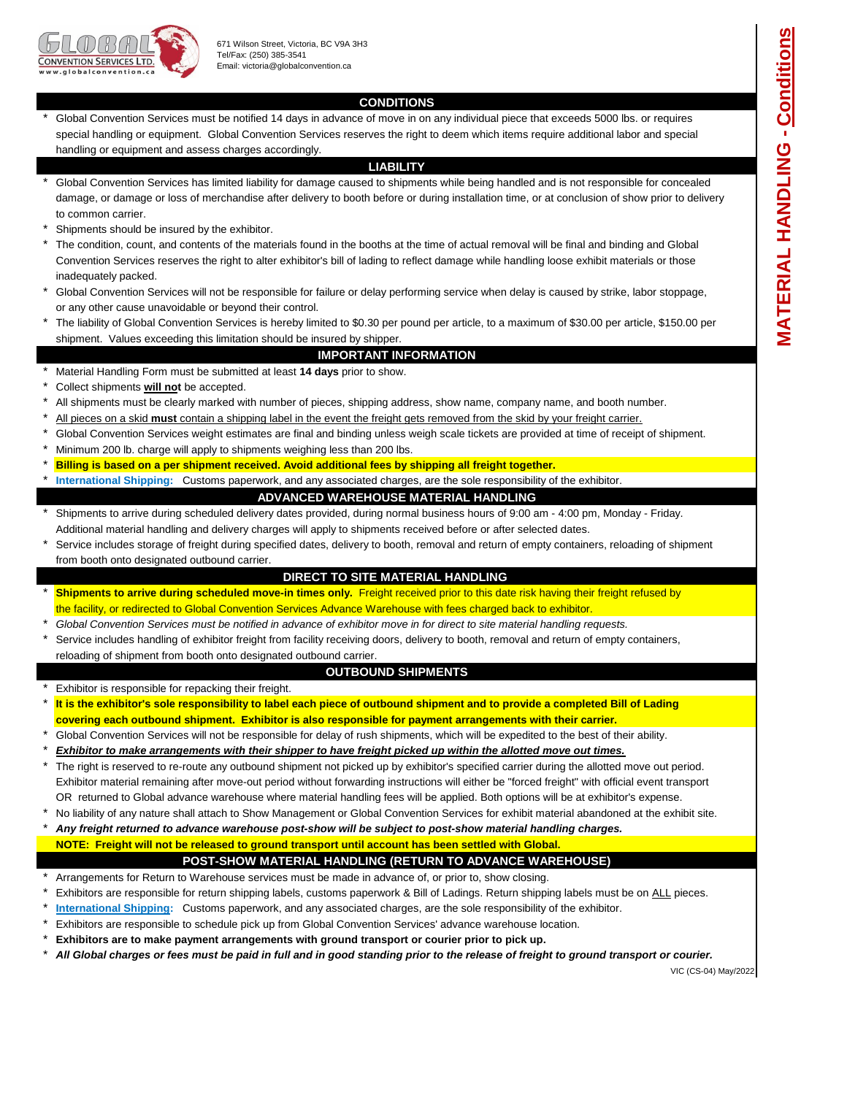

### **CONDITIONS**

\* Global Convention Services must be notified 14 days in advance of move in on any individual piece that exceeds 5000 lbs. or requires special handling or equipment. Global Convention Services reserves the right to deem which items require additional labor and special handling or equipment and assess charges accordingly.

#### **LIABILITY**

- \* to common carrier. Global Convention Services has limited liability for damage caused to shipments while being handled and is not responsible for concealed damage, or damage or loss of merchandise after delivery to booth before or during installation time, or at conclusion of show prior to delivery
- \* Shipments should be insured by the exhibitor.
- \* The condition, count, and contents of the materials found in the booths at the time of actual removal will be final and binding and Global Convention Services reserves the right to alter exhibitor's bill of lading to reflect damage while handling loose exhibit materials or those inadequately packed.
- \* Global Convention Services will not be responsible for failure or delay performing service when delay is caused by strike, labor stoppage, or any other cause unavoidable or beyond their control.
- \* The liability of Global Convention Services is hereby limited to \$0.30 per pound per article, to a maximum of \$30.00 per article, \$150.00 per shipment. Values exceeding this limitation should be insured by shipper.

#### **IMPORTANT INFORMATION**

- \* Material Handling Form must be submitted at least **14 days** prior to show.
- \* Collect shipments **will not** be accepted.
- \* All shipments must be clearly marked with number of pieces, shipping address, show name, company name, and booth number.
- \* All pieces on a skid **must** contain a shipping label in the event the freight gets removed from the skid by your freight carrier.
- \* Global Convention Services weight estimates are final and binding unless weigh scale tickets are provided at time of receipt of shipment.
- \* Minimum 200 lb. charge will apply to shipments weighing less than 200 lbs.
- \* **Billing is based on a per shipment received. Avoid additional fees by shipping all freight together.**
- \* **International Shipping:** Customs paperwork, and any associated charges, are the sole responsibility of the exhibitor.

#### **ADVANCED WAREHOUSE MATERIAL HANDLING**

- \* Shipments to arrive during scheduled delivery dates provided, during normal business hours of 9:00 am - 4:00 pm, Monday - Friday. Additional material handling and delivery charges will apply to shipments received before or after selected dates.
- \* Service includes storage of freight during specified dates, delivery to booth, removal and return of empty containers, reloading of shipment from booth onto designated outbound carrier.

#### **DIRECT TO SITE MATERIAL HANDLING**

- \* the facility, or redirected to Global Convention Services Advance Warehouse with fees charged back to exhibitor. **Shipments to arrive during scheduled move-in times only.** Freight received prior to this date risk having their freight refused by
- \* *Global Convention Services must be notified in advance of exhibitor move in for direct to site material handling requests.*
- \* Service includes handling of exhibitor freight from facility receiving doors, delivery to booth, removal and return of empty containers, reloading of shipment from booth onto designated outbound carrier.

#### **OUTBOUND SHIPMENTS**

- \* Exhibitor is responsible for repacking their freight.
- \* **It is the exhibitor's sole responsibility to label each piece of outbound shipment and to provide a completed Bill of Lading covering each outbound shipment. Exhibitor is also responsible for payment arrangements with their carrier.**
- \* Global Convention Services will not be responsible for delay of rush shipments, which will be expedited to the best of their ability.
- \* *Exhibitor to make arrangements with their shipper to have freight picked up within the allotted move out times.*
- \* OR returned to Global advance warehouse where material handling fees will be applied. Both options will be at exhibitor's expense. The right is reserved to re-route any outbound shipment not picked up by exhibitor's specified carrier during the allotted move out period. Exhibitor material remaining after move-out period without forwarding instructions will either be "forced freight" with official event transport
- \* No liability of any nature shall attach to Show Management or Global Convention Services for exhibit material abandoned at the exhibit site.
- \* *Any freight returned to advance warehouse post-show will be subject to post-show material handling charges.*

### **NOTE: Freight will not be released to ground transport until account has been settled with Global.**

#### **POST-SHOW MATERIAL HANDLING (RETURN TO ADVANCE WAREHOUSE)**

- \* Arrangements for Return to Warehouse services must be made in advance of, or prior to, show closing.
- \* Exhibitors are responsible for return shipping labels, customs paperwork & Bill of Ladings. Return shipping labels must be on ALL pieces.
- \* **International Shipping:** Customs paperwork, and any associated charges, are the sole responsibility of the exhibitor.
- \* Exhibitors are responsible to schedule pick up from Global Convention Services' advance warehouse location.
- \* **Exhibitors are to make payment arrangements with ground transport or courier prior to pick up.**
- \* *All Global charges or fees must be paid in full and in good standing prior to the release of freight to ground transport or courier.*

VIC (CS-04) May/2022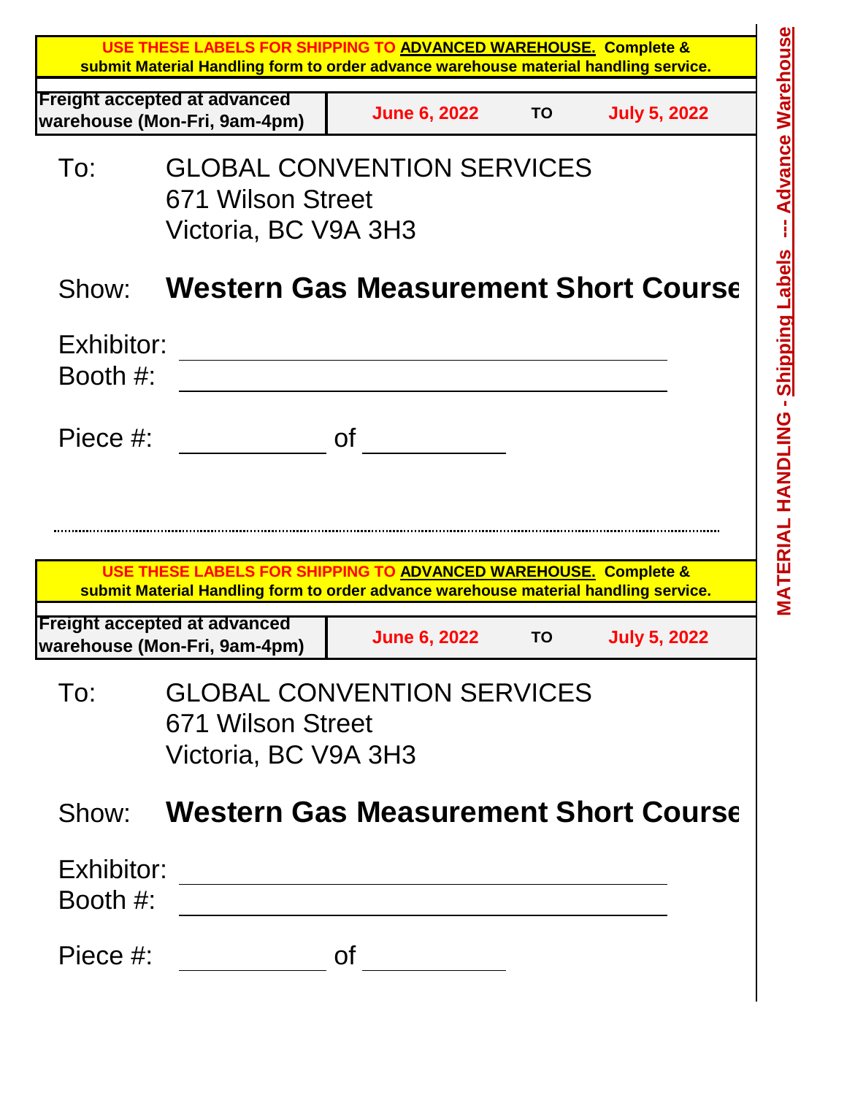|                        |                                                                     | USE THESE LABELS FOR SHIPPING TO ADVANCED WAREHOUSE. Complete &<br>submit Material Handling form to order advance warehouse material handling service. |           |                     |
|------------------------|---------------------------------------------------------------------|--------------------------------------------------------------------------------------------------------------------------------------------------------|-----------|---------------------|
|                        | <b>Freight accepted at advanced</b><br>warehouse (Mon-Fri, 9am-4pm) | <b>June 6, 2022</b>                                                                                                                                    | <b>TO</b> | <b>July 5, 2022</b> |
| To:                    | 671 Wilson Street<br>Victoria, BC V9A 3H3                           | <b>GLOBAL CONVENTION SERVICES</b>                                                                                                                      |           |                     |
| Show:                  |                                                                     | <b>Western Gas Measurement Short Course</b>                                                                                                            |           |                     |
| Exhibitor:<br>Booth #: |                                                                     |                                                                                                                                                        |           |                     |
| Piece #:               |                                                                     | <b>of</b>                                                                                                                                              |           |                     |
|                        |                                                                     | USE THESE LABELS FOR SHIPPING TO ADVANCED WAREHOUSE. Complete &                                                                                        |           |                     |
|                        | <b>Freight accepted at advanced</b><br>warehouse (Mon-Fri, 9am-4pm) | submit Material Handling form to order advance warehouse material handling service.<br><b>June 6, 2022</b>                                             | <b>TO</b> | <b>July 5, 2022</b> |
| To:                    | 671 Wilson Street<br>Victoria, BC V9A 3H3                           | <b>GLOBAL CONVENTION SERVICES</b>                                                                                                                      |           |                     |
|                        |                                                                     | <b>Show:</b> Western Gas Measurement Short Course                                                                                                      |           |                     |
| Exhibitor:<br>Booth #: |                                                                     | <u> 1989 - Johann Harry Barn, mars ar yw y cyfan y cyfan y cyfan y cyfan y cyfan y cyfan y cyfan y cyfan y cyfan</u>                                   |           |                     |
| Piece #:               |                                                                     | <b>of</b>                                                                                                                                              |           |                     |
|                        |                                                                     |                                                                                                                                                        |           |                     |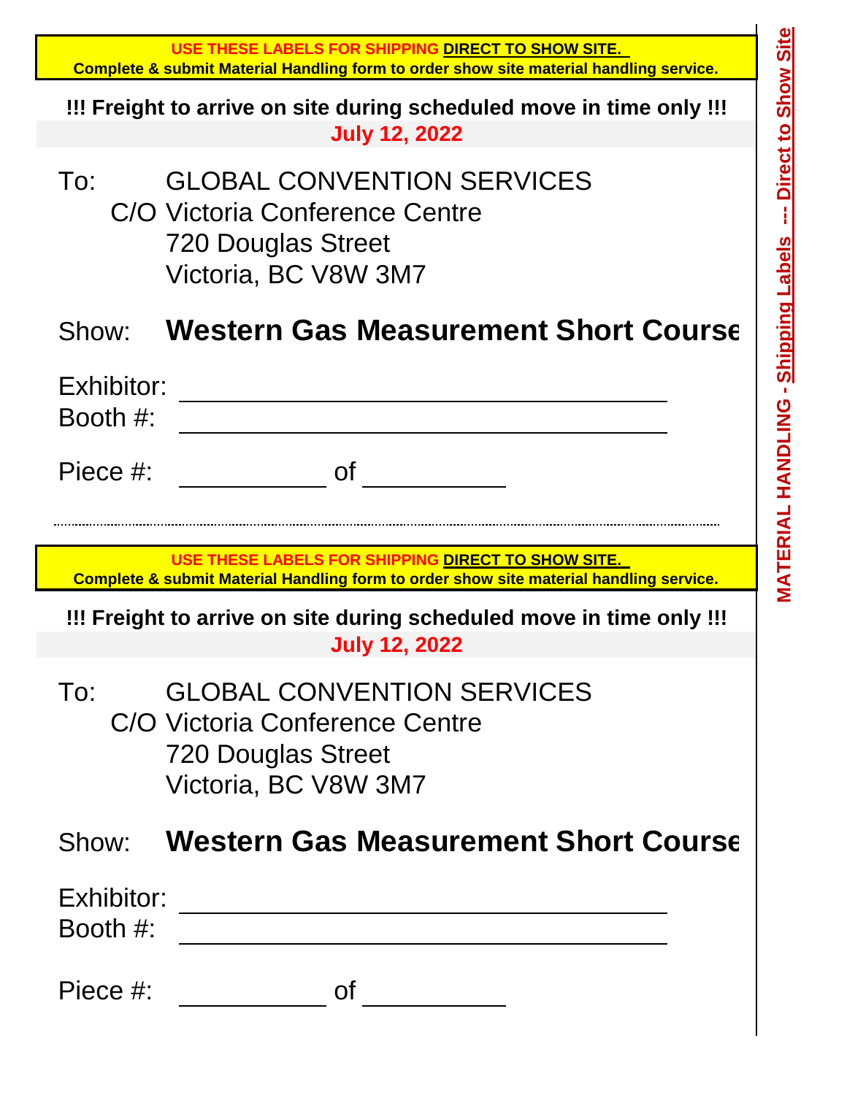|                        | USE THESE LABELS FOR SHIPPING DIRECT TO SHOW SITE.<br>Complete & submit Material Handling form to order show site material handling service. | Site                                       |
|------------------------|----------------------------------------------------------------------------------------------------------------------------------------------|--------------------------------------------|
|                        | !!! Freight to arrive on site during scheduled move in time only!!!<br><b>July 12, 2022</b>                                                  | <b>Show</b>                                |
| To:                    | <b>GLOBAL CONVENTION SERVICES</b><br>C/O Victoria Conference Centre<br><b>720 Douglas Street</b><br>Victoria, BC V8W 3M7                     | Direct to                                  |
| Show:                  | <b>Western Gas Measurement Short Course</b>                                                                                                  |                                            |
| Exhibitor:<br>Booth #: |                                                                                                                                              | <b>MATERIAL HANDLING - Shipping Labels</b> |
| Piece #:               | Οf                                                                                                                                           |                                            |
|                        |                                                                                                                                              |                                            |
|                        |                                                                                                                                              |                                            |
|                        | USE THESE LABELS FOR SHIPPING DIRECT TO SHOW SITE.<br>Complete & submit Material Handling form to order show site material handling service. |                                            |
|                        | !!! Freight to arrive on site during scheduled move in time only!!!<br><b>July 12, 2022</b>                                                  |                                            |
| To:                    | <b>GLOBAL CONVENTION SERVICES</b><br>C/O Victoria Conference Centre<br>720 Douglas Street<br>Victoria, BC V8W 3M7                            |                                            |
| Show:                  | <b>Western Gas Measurement Short Course</b>                                                                                                  |                                            |
| Exhibitor:<br>Booth #: |                                                                                                                                              |                                            |
| Piece #:               | <b>of</b>                                                                                                                                    |                                            |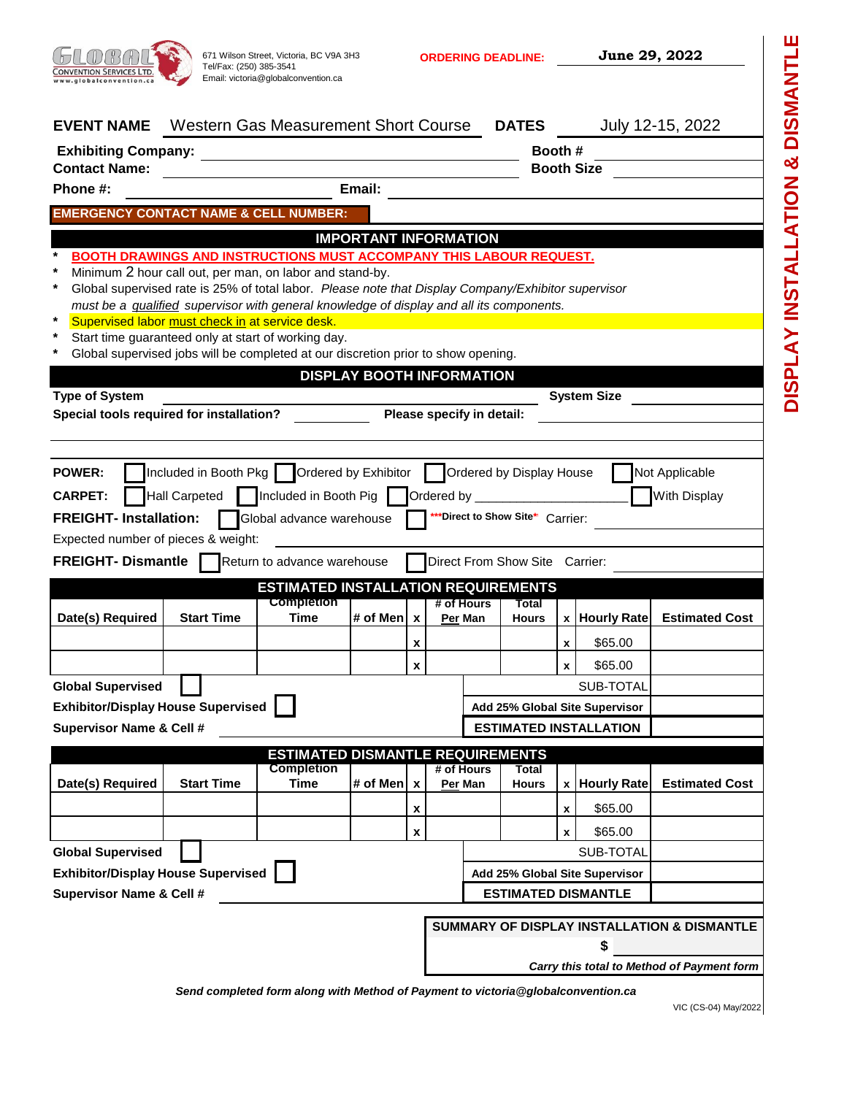

**ORDERING DEADLINE:**

**June 29, 2022**

**DISPLAY INSTALLATION & DISMANTLE**

DISPLAY INSTALLATION & DISMANTLE

| <b>Western Gas Measurement Short Course</b>                                                                                                                        |                                                                                                          |                                                                              | <b>DATES</b> |                                                                                                                                                                                                                                                                                             |                                                                                                                                               | July 12-15, 2022                                                                                                                                                                                                                                                                                                                                                                                                              |
|--------------------------------------------------------------------------------------------------------------------------------------------------------------------|----------------------------------------------------------------------------------------------------------|------------------------------------------------------------------------------|--------------|---------------------------------------------------------------------------------------------------------------------------------------------------------------------------------------------------------------------------------------------------------------------------------------------|-----------------------------------------------------------------------------------------------------------------------------------------------|-------------------------------------------------------------------------------------------------------------------------------------------------------------------------------------------------------------------------------------------------------------------------------------------------------------------------------------------------------------------------------------------------------------------------------|
|                                                                                                                                                                    |                                                                                                          |                                                                              |              |                                                                                                                                                                                                                                                                                             |                                                                                                                                               |                                                                                                                                                                                                                                                                                                                                                                                                                               |
|                                                                                                                                                                    |                                                                                                          |                                                                              | Booth #      |                                                                                                                                                                                                                                                                                             |                                                                                                                                               |                                                                                                                                                                                                                                                                                                                                                                                                                               |
|                                                                                                                                                                    |                                                                                                          |                                                                              |              |                                                                                                                                                                                                                                                                                             | <b>Booth Size</b>                                                                                                                             |                                                                                                                                                                                                                                                                                                                                                                                                                               |
|                                                                                                                                                                    |                                                                                                          |                                                                              |              |                                                                                                                                                                                                                                                                                             |                                                                                                                                               |                                                                                                                                                                                                                                                                                                                                                                                                                               |
|                                                                                                                                                                    |                                                                                                          |                                                                              |              |                                                                                                                                                                                                                                                                                             |                                                                                                                                               |                                                                                                                                                                                                                                                                                                                                                                                                                               |
| Minimum 2 hour call out, per man, on labor and stand-by.<br>Supervised labor must check in at service desk.<br>Start time guaranteed only at start of working day. |                                                                                                          |                                                                              |              |                                                                                                                                                                                                                                                                                             |                                                                                                                                               |                                                                                                                                                                                                                                                                                                                                                                                                                               |
|                                                                                                                                                                    |                                                                                                          |                                                                              |              |                                                                                                                                                                                                                                                                                             |                                                                                                                                               |                                                                                                                                                                                                                                                                                                                                                                                                                               |
|                                                                                                                                                                    |                                                                                                          |                                                                              |              |                                                                                                                                                                                                                                                                                             |                                                                                                                                               |                                                                                                                                                                                                                                                                                                                                                                                                                               |
| Global advance warehouse<br>Return to advance warehouse<br><b>Completion</b>                                                                                       |                                                                                                          | # of Hours                                                                   | Total        |                                                                                                                                                                                                                                                                                             |                                                                                                                                               |                                                                                                                                                                                                                                                                                                                                                                                                                               |
|                                                                                                                                                                    |                                                                                                          | Per Man                                                                      | <b>Hours</b> |                                                                                                                                                                                                                                                                                             |                                                                                                                                               | <b>Estimated Cost</b>                                                                                                                                                                                                                                                                                                                                                                                                         |
|                                                                                                                                                                    | x                                                                                                        |                                                                              |              | x                                                                                                                                                                                                                                                                                           | \$65.00                                                                                                                                       |                                                                                                                                                                                                                                                                                                                                                                                                                               |
|                                                                                                                                                                    | x                                                                                                        |                                                                              |              | $\mathbf{x}$                                                                                                                                                                                                                                                                                | \$65.00                                                                                                                                       |                                                                                                                                                                                                                                                                                                                                                                                                                               |
|                                                                                                                                                                    |                                                                                                          |                                                                              |              |                                                                                                                                                                                                                                                                                             | SUB-TOTAL                                                                                                                                     |                                                                                                                                                                                                                                                                                                                                                                                                                               |
|                                                                                                                                                                    |                                                                                                          |                                                                              |              |                                                                                                                                                                                                                                                                                             |                                                                                                                                               |                                                                                                                                                                                                                                                                                                                                                                                                                               |
|                                                                                                                                                                    |                                                                                                          |                                                                              |              |                                                                                                                                                                                                                                                                                             |                                                                                                                                               |                                                                                                                                                                                                                                                                                                                                                                                                                               |
|                                                                                                                                                                    |                                                                                                          |                                                                              |              |                                                                                                                                                                                                                                                                                             |                                                                                                                                               |                                                                                                                                                                                                                                                                                                                                                                                                                               |
|                                                                                                                                                                    |                                                                                                          | Per Man                                                                      | <b>Hours</b> | X                                                                                                                                                                                                                                                                                           | <b>Hourly Rate</b>                                                                                                                            | <b>Estimated Cost</b>                                                                                                                                                                                                                                                                                                                                                                                                         |
|                                                                                                                                                                    | x                                                                                                        |                                                                              |              | x                                                                                                                                                                                                                                                                                           | \$65.00                                                                                                                                       |                                                                                                                                                                                                                                                                                                                                                                                                                               |
|                                                                                                                                                                    | x                                                                                                        |                                                                              |              | x                                                                                                                                                                                                                                                                                           | \$65.00                                                                                                                                       |                                                                                                                                                                                                                                                                                                                                                                                                                               |
|                                                                                                                                                                    |                                                                                                          |                                                                              |              |                                                                                                                                                                                                                                                                                             |                                                                                                                                               |                                                                                                                                                                                                                                                                                                                                                                                                                               |
|                                                                                                                                                                    |                                                                                                          |                                                                              |              |                                                                                                                                                                                                                                                                                             | SUB-TOTAL                                                                                                                                     |                                                                                                                                                                                                                                                                                                                                                                                                                               |
|                                                                                                                                                                    |                                                                                                          |                                                                              |              |                                                                                                                                                                                                                                                                                             | Add 25% Global Site Supervisor                                                                                                                |                                                                                                                                                                                                                                                                                                                                                                                                                               |
|                                                                                                                                                                    |                                                                                                          |                                                                              |              |                                                                                                                                                                                                                                                                                             | <b>ESTIMATED DISMANTLE</b>                                                                                                                    |                                                                                                                                                                                                                                                                                                                                                                                                                               |
|                                                                                                                                                                    |                                                                                                          |                                                                              |              |                                                                                                                                                                                                                                                                                             |                                                                                                                                               | SUMMARY OF DISPLAY INSTALLATION & DISMANTLE                                                                                                                                                                                                                                                                                                                                                                                   |
|                                                                                                                                                                    | Email:<br><b>EMERGENCY CONTACT NAME &amp; CELL NUMBER:</b><br>Included in Booth Pig<br><b>Completion</b> | Included in Booth Pkg     Ordered by Exhibitor<br># of Men   x<br># of Men x | # of Hours   | <b>IMPORTANT INFORMATION</b><br>Global supervised jobs will be completed at our discretion prior to show opening.<br><b>DISPLAY BOOTH INFORMATION</b><br>Please specify in detail:<br>Ordered by <b>Common Contract Common Contract</b><br><b>ESTIMATED DISMANTLE REQUIREMENTS</b><br>Total | must be a <i>qualified</i> supervisor with general knowledge of display and all its components.<br><b>ESTIMATED INSTALLATION REQUIREMENTS</b> | <b>BOOTH DRAWINGS AND INSTRUCTIONS MUST ACCOMPANY THIS LABOUR REQUEST.</b><br>Global supervised rate is 25% of total labor. Please note that Display Company/Exhibitor supervisor<br><b>System Size</b><br>Ordered by Display House<br>Not Applicable<br>With Display<br>*Direct to Show Site* Carrier:<br>Direct From Show Site Carrier:<br>x Hourly Rate<br>Add 25% Global Site Supervisor<br><b>ESTIMATED INSTALLATION</b> |

*Carry this total to Method of Payment form*

*Send completed form along with Method of Payment to victoria@globalconvention.ca*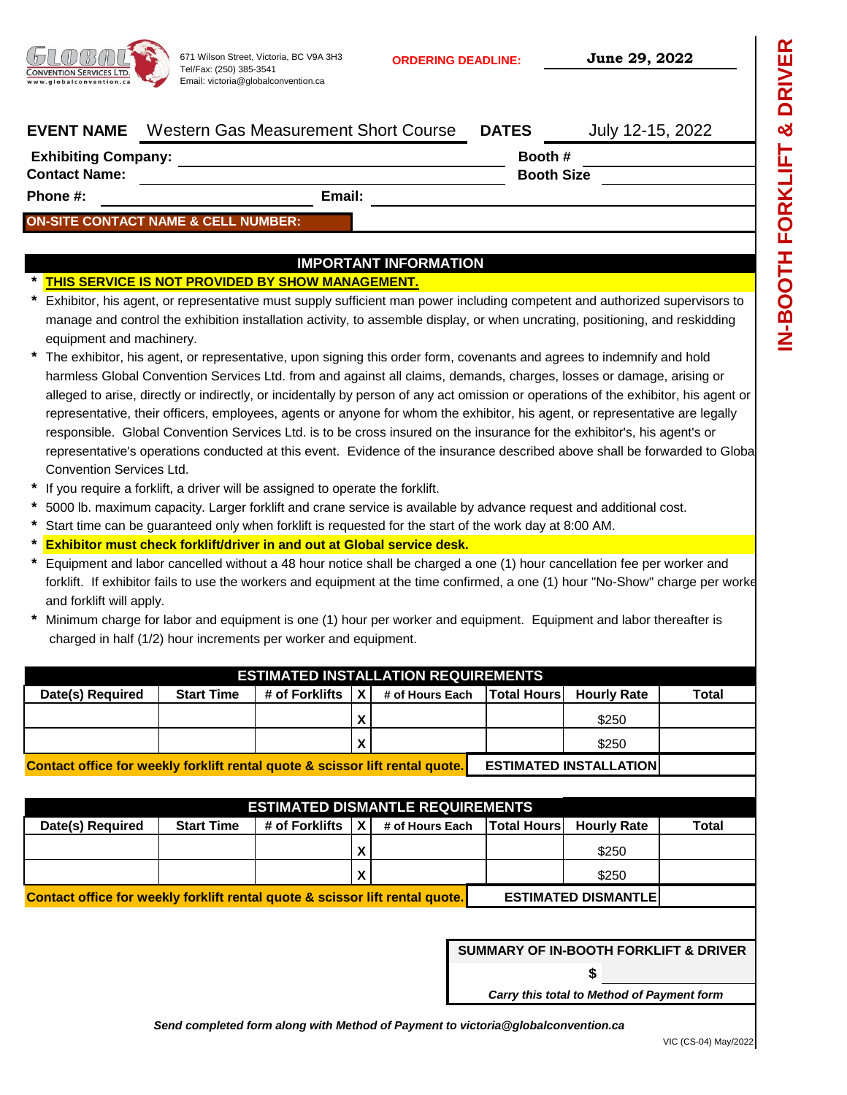

671 Wilson Street, Victoria, BC V9A 3H3 **ORDERING DEADLINE: June 29, 2022** Tel/Fax: (250) 385-3541 Email: victoria@globalconvention.ca

**Booth #**

|         | <b>DRIVER</b><br>ಯ |
|---------|--------------------|
|         |                    |
|         | <b>FORKI</b>       |
|         |                    |
| to<br>J | <b>HICOD</b>       |

| <b>EVENT NAME</b> Western Gas Measurement Short Course | <b>DATES</b> |                  |
|--------------------------------------------------------|--------------|------------------|
|                                                        |              | July 12-15, 2022 |

**Exhibiting Company:**

**Contact Name: Booth Size** 

**Phone #: Email:**

### **ON-SITE CONTACT NAME & CELL NUMBER:**

## **IMPORTANT INFORMATION**

#### **\* THIS SERVICE IS NOT PROVIDED BY SHOW MANAGEMENT.**

| * Exhibitor, his agent, or representative must supply sufficient man power including competent and authorized supervisors to |
|------------------------------------------------------------------------------------------------------------------------------|
| manage and control the exhibition installation activity, to assemble display, or when uncrating, positioning, and reskidding |
| equipment and machinery.                                                                                                     |

- **\*** representative's operations conducted at this event. Evidence of the insurance described above shall be forwarded to Global Convention Services Ltd. representative, their officers, employees, agents or anyone for whom the exhibitor, his agent, or representative are legally responsible. Global Convention Services Ltd. is to be cross insured on the insurance for the exhibitor's, his agent's or The exhibitor, his agent, or representative, upon signing this order form, covenants and agrees to indemnify and hold harmless Global Convention Services Ltd. from and against all claims, demands, charges, losses or damage, arising or alleged to arise, directly or indirectly, or incidentally by person of any act omission or operations of the exhibitor, his agent or
- **\*** If you require a forklift, a driver will be assigned to operate the forklift.
- **\*** 5000 lb. maximum capacity. Larger forklift and crane service is available by advance request and additional cost.
- **\*** Start time can be guaranteed only when forklift is requested for the start of the work day at 8:00 AM.
- **\* Exhibitor must check forklift/driver in and out at Global service desk.**
- **\*** Equipment and labor cancelled without a 48 hour notice shall be charged a one (1) hour cancellation fee per worker and forklift. If exhibitor fails to use the workers and equipment at the time confirmed, a one (1) hour "No-Show" charge per worke and forklift will apply.
- **\*** charged in half (1/2) hour increments per worker and equipment. Minimum charge for labor and equipment is one (1) hour per worker and equipment. Equipment and labor thereafter is

|                  |                                                                                                                |                   | <b>ESTIMATED INSTALLATION REQUIREMENTS</b>  |       |       |
|------------------|----------------------------------------------------------------------------------------------------------------|-------------------|---------------------------------------------|-------|-------|
| Date(s) Required | <b>Start Time</b>                                                                                              | # of Forklifts LX | # of Hours Each   Total Hours   Hourly Rate |       | Total |
|                  |                                                                                                                |                   |                                             | \$250 |       |
|                  |                                                                                                                |                   |                                             | \$250 |       |
|                  | 그 아이들은 그 사람들은 그 사람들은 그 사람들을 지르는 것이다. 그 사람들은 그 사람들은 그 사람들은 그 사람들을 지르는 것이다. 그 사람들은 그 사람들은 그 사람들은 그 사람들을 지르는 것이다. |                   |                                             |       |       |

**Contact office for weekly forklift rental quote & scissor lift rental quote. ESTIMATED INSTALLATION**

|                                                                              |                   |                    |   | <b>ESTIMATED DISMANTLE REQUIREMENTS</b> |                    |                             |       |
|------------------------------------------------------------------------------|-------------------|--------------------|---|-----------------------------------------|--------------------|-----------------------------|-------|
| Date(s) Required                                                             | <b>Start Time</b> | # of Forklifts   X |   | # of Hours Each                         | <b>Total Hours</b> | <b>Hourly Rate</b>          | Total |
|                                                                              |                   |                    | X |                                         |                    | \$250                       |       |
|                                                                              |                   |                    | X |                                         |                    | \$250                       |       |
| Contact office for weekly forklift rental quote & scissor lift rental quote. |                   |                    |   |                                         |                    | <b>ESTIMATED DISMANTLEI</b> |       |

# **SUMMARY OF IN-BOOTH FORKLIFT & DRIVER**

*Carry this total to Method of Payment form*

**\$**